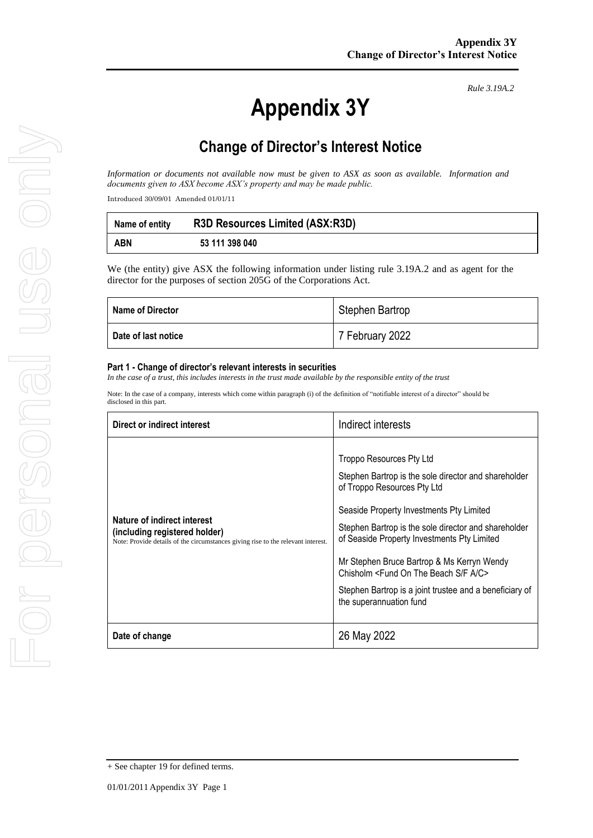*Rule 3.19A.2*

## **Change of Director's Interest Notice**

*Information or documents not available now must be given to ASX as soon as available. Information and documents given to ASX become ASX's property and may be made public.*

Introduced 30/09/01 Amended 01/01/11

| Name of entity | <b>R3D Resources Limited (ASX:R3D)</b> |
|----------------|----------------------------------------|
| <b>ABN</b>     | 53 111 398 040                         |

We (the entity) give ASX the following information under listing rule 3.19A.2 and as agent for the director for the purposes of section 205G of the Corporations Act.

| <b>Name of Director</b> | Stephen Bartrop |
|-------------------------|-----------------|
| Date of last notice     | 7 February 2022 |

#### **Part 1 - Change of director's relevant interests in securities**

In the case of a trust, this includes interests in the trust made available by the *responsible entity of the trust* 

Note: In the case of a company, interests which come within paragraph (i) of the definition of "notifiable interest of a director" should be disclosed in this part.

| Direct or indirect interest                                                                                                                      | Indirect interests                                                                                                                                                                                                                                                                                                                                                                                                                                                           |
|--------------------------------------------------------------------------------------------------------------------------------------------------|------------------------------------------------------------------------------------------------------------------------------------------------------------------------------------------------------------------------------------------------------------------------------------------------------------------------------------------------------------------------------------------------------------------------------------------------------------------------------|
| Nature of indirect interest<br>(including registered holder)<br>Note: Provide details of the circumstances giving rise to the relevant interest. | Troppo Resources Pty Ltd<br>Stephen Bartrop is the sole director and shareholder<br>of Troppo Resources Pty Ltd<br>Seaside Property Investments Pty Limited<br>Stephen Bartrop is the sole director and shareholder<br>of Seaside Property Investments Pty Limited<br>Mr Stephen Bruce Bartrop & Ms Kerryn Wendy<br>Chisholm <fund a="" beach="" c="" f="" on="" s="" the=""><br/>Stephen Bartrop is a joint trustee and a beneficiary of<br/>the superannuation fund</fund> |
| Date of change                                                                                                                                   | 26 May 2022                                                                                                                                                                                                                                                                                                                                                                                                                                                                  |

<sup>+</sup> See chapter 19 for defined terms.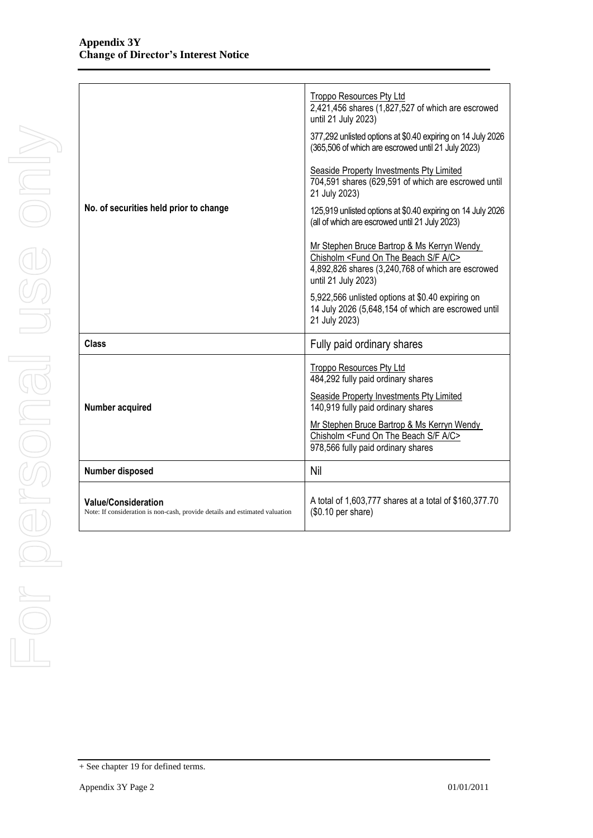| No. of securities held prior to change                                                                    | Troppo Resources Pty Ltd<br>2,421,456 shares (1,827,527 of which are escrowed<br>until 21 July 2023)<br>377,292 unlisted options at \$0.40 expiring on 14 July 2026<br>(365,506 of which are escrowed until 21 July 2023)<br>Seaside Property Investments Pty Limited<br>704,591 shares (629,591 of which are escrowed until<br>21 July 2023)<br>125,919 unlisted options at \$0.40 expiring on 14 July 2026<br>(all of which are escrowed until 21 July 2023)<br>Mr Stephen Bruce Bartrop & Ms Kerryn Wendy<br>Chisholm <fund a="" beach="" c="" f="" on="" s="" the=""><br/>4,892,826 shares (3,240,768 of which are escrowed<br/>until 21 July 2023)<br/>5,922,566 unlisted options at \$0.40 expiring on<br/>14 July 2026 (5,648,154 of which are escrowed until<br/>21 July 2023)</fund> |
|-----------------------------------------------------------------------------------------------------------|-----------------------------------------------------------------------------------------------------------------------------------------------------------------------------------------------------------------------------------------------------------------------------------------------------------------------------------------------------------------------------------------------------------------------------------------------------------------------------------------------------------------------------------------------------------------------------------------------------------------------------------------------------------------------------------------------------------------------------------------------------------------------------------------------|
| <b>Class</b>                                                                                              | Fully paid ordinary shares                                                                                                                                                                                                                                                                                                                                                                                                                                                                                                                                                                                                                                                                                                                                                                    |
| Number acquired                                                                                           | <b>Troppo Resources Pty Ltd</b><br>484,292 fully paid ordinary shares<br>Seaside Property Investments Pty Limited<br>140,919 fully paid ordinary shares<br>Mr Stephen Bruce Bartrop & Ms Kerryn Wendy<br>Chisholm <fund a="" beach="" c="" f="" on="" s="" the=""><br/>978,566 fully paid ordinary shares</fund>                                                                                                                                                                                                                                                                                                                                                                                                                                                                              |
| Number disposed                                                                                           | Nil                                                                                                                                                                                                                                                                                                                                                                                                                                                                                                                                                                                                                                                                                                                                                                                           |
| <b>Value/Consideration</b><br>Note: If consideration is non-cash, provide details and estimated valuation | A total of 1,603,777 shares at a total of \$160,377.70<br>(\$0.10 per share)                                                                                                                                                                                                                                                                                                                                                                                                                                                                                                                                                                                                                                                                                                                  |

<sup>+</sup> See chapter 19 for defined terms.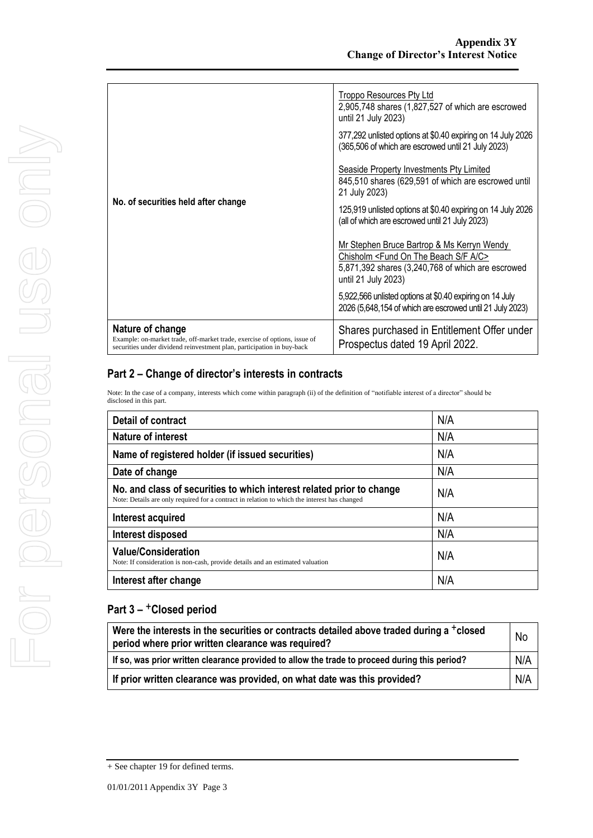| No. of securities held after change                                                                                                                                     | Troppo Resources Pty Ltd<br>2,905,748 shares (1,827,527 of which are escrowed<br>until 21 July 2023)<br>377,292 unlisted options at \$0.40 expiring on 14 July 2026<br>(365,506 of which are escrowed until 21 July 2023)<br><b>Seaside Property Investments Pty Limited</b><br>845,510 shares (629,591 of which are escrowed until<br>21 July 2023)<br>125,919 unlisted options at \$0.40 expiring on 14 July 2026<br>(all of which are escrowed until 21 July 2023)<br>Mr Stephen Bruce Bartrop & Ms Kerryn Wendy<br>Chisholm <fund a="" beach="" c="" f="" on="" s="" the=""><br/>5,871,392 shares (3,240,768 of which are escrowed<br/>until 21 July 2023)<br/>5,922,566 unlisted options at \$0.40 expiring on 14 July</fund> |
|-------------------------------------------------------------------------------------------------------------------------------------------------------------------------|------------------------------------------------------------------------------------------------------------------------------------------------------------------------------------------------------------------------------------------------------------------------------------------------------------------------------------------------------------------------------------------------------------------------------------------------------------------------------------------------------------------------------------------------------------------------------------------------------------------------------------------------------------------------------------------------------------------------------------|
|                                                                                                                                                                         | 2026 (5,648,154 of which are escrowed until 21 July 2023)                                                                                                                                                                                                                                                                                                                                                                                                                                                                                                                                                                                                                                                                          |
| Nature of change<br>Example: on-market trade, off-market trade, exercise of options, issue of<br>securities under dividend reinvestment plan, participation in buy-back | Shares purchased in Entitlement Offer under<br>Prospectus dated 19 April 2022.                                                                                                                                                                                                                                                                                                                                                                                                                                                                                                                                                                                                                                                     |

Note: In the case of a company, interests which come within paragraph (ii) of the definition of "notifiable interest of a director" should be disclosed in this part.

| <b>Detail of contract</b>                                                                                                                                             | N/A |
|-----------------------------------------------------------------------------------------------------------------------------------------------------------------------|-----|
| <b>Nature of interest</b>                                                                                                                                             | N/A |
| Name of registered holder (if issued securities)                                                                                                                      | N/A |
| Date of change                                                                                                                                                        | N/A |
| No. and class of securities to which interest related prior to change<br>Note: Details are only required for a contract in relation to which the interest has changed | N/A |
| Interest acquired                                                                                                                                                     | N/A |
| Interest disposed                                                                                                                                                     | N/A |
| <b>Value/Consideration</b><br>Note: If consideration is non-cash, provide details and an estimated valuation                                                          | N/A |
| Interest after change                                                                                                                                                 | N/A |

| Were the interests in the securities or contracts detailed above traded during a +closed<br>period where prior written clearance was required? |     |
|------------------------------------------------------------------------------------------------------------------------------------------------|-----|
| If so, was prior written clearance provided to allow the trade to proceed during this period?                                                  |     |
| If prior written clearance was provided, on what date was this provided?                                                                       | N/A |

<sup>+</sup> See chapter 19 for defined terms.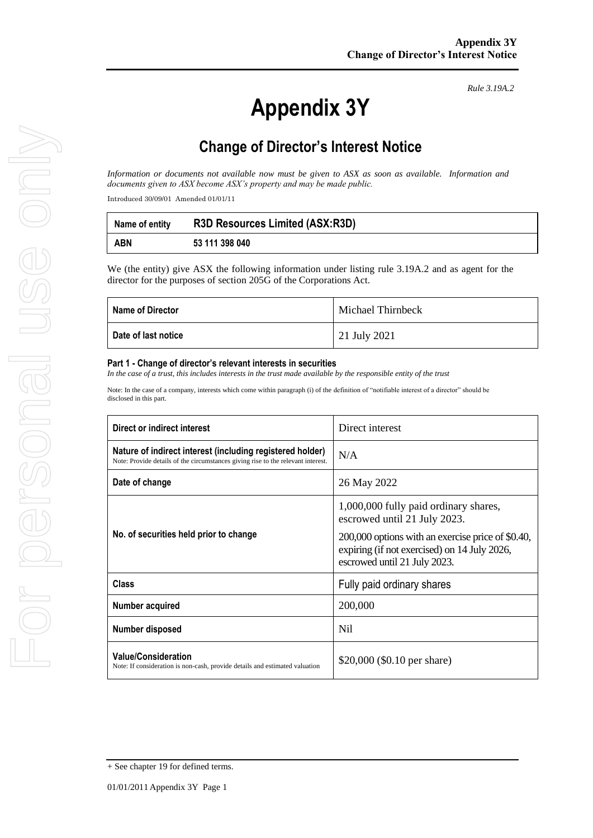*Rule 3.19A.2*

## **Change of Director's Interest Notice**

*Information or documents not available now must be given to ASX as soon as available. Information and documents given to ASX become ASX's property and may be made public.*

Introduced 30/09/01 Amended 01/01/11

| Name of entity | <b>R3D Resources Limited (ASX:R3D)</b> |
|----------------|----------------------------------------|
| <b>ABN</b>     | 53 111 398 040                         |

We (the entity) give ASX the following information under listing rule 3.19A.2 and as agent for the director for the purposes of section 205G of the Corporations Act.

| <b>Name of Director</b> | Michael Thirnbeck |
|-------------------------|-------------------|
| Date of last notice     | 21 July 2021      |

#### **Part 1 - Change of director's relevant interests in securities**

*In the case of a trust, this includes interests in the trust made available by the responsible entity of the trust*

Note: In the case of a company, interests which come within paragraph (i) of the definition of "notifiable interest of a director" should be disclosed in this part.

| Direct or indirect interest                                                                                                                   | Direct interest                                                                                                                                                                                            |  |
|-----------------------------------------------------------------------------------------------------------------------------------------------|------------------------------------------------------------------------------------------------------------------------------------------------------------------------------------------------------------|--|
| Nature of indirect interest (including registered holder)<br>Note: Provide details of the circumstances giving rise to the relevant interest. | N/A                                                                                                                                                                                                        |  |
| Date of change                                                                                                                                | 26 May 2022                                                                                                                                                                                                |  |
| No. of securities held prior to change                                                                                                        | 1,000,000 fully paid ordinary shares,<br>escrowed until 21 July 2023.<br>200,000 options with an exercise price of \$0.40,<br>expiring (if not exercised) on 14 July 2026,<br>escrowed until 21 July 2023. |  |
| Class                                                                                                                                         | Fully paid ordinary shares                                                                                                                                                                                 |  |
| Number acquired                                                                                                                               | 200,000                                                                                                                                                                                                    |  |
| Number disposed                                                                                                                               | N <sub>i</sub>                                                                                                                                                                                             |  |
| <b>Value/Consideration</b><br>Note: If consideration is non-cash, provide details and estimated valuation                                     | \$20,000 (\$0.10 per share)                                                                                                                                                                                |  |

<sup>+</sup> See chapter 19 for defined terms.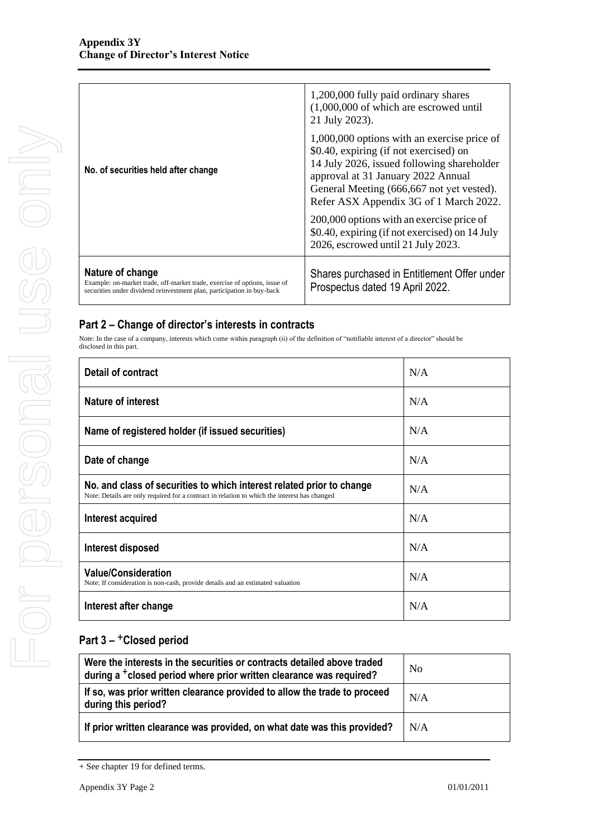|                                                                                                                                                                         | 1,200,000 fully paid ordinary shares<br>$(1,000,000)$ of which are escrowed until<br>21 July 2023).                                                                                                                                                              |
|-------------------------------------------------------------------------------------------------------------------------------------------------------------------------|------------------------------------------------------------------------------------------------------------------------------------------------------------------------------------------------------------------------------------------------------------------|
| No. of securities held after change                                                                                                                                     | 1,000,000 options with an exercise price of<br>\$0.40, expiring (if not exercised) on<br>14 July 2026, issued following shareholder<br>approval at 31 January 2022 Annual<br>General Meeting (666,667 not yet vested).<br>Refer ASX Appendix 3G of 1 March 2022. |
|                                                                                                                                                                         | 200,000 options with an exercise price of<br>\$0.40, expiring (if not exercised) on 14 July<br>2026, escrowed until 21 July 2023.                                                                                                                                |
| Nature of change<br>Example: on-market trade, off-market trade, exercise of options, issue of<br>securities under dividend reinvestment plan, participation in buy-back | Shares purchased in Entitlement Offer under<br>Prospectus dated 19 April 2022.                                                                                                                                                                                   |

Note: In the case of a company, interests which come within paragraph (ii) of the definition of "notifiable interest of a director" should be disclosed in this part.

| Detail of contract                                                                                                                                                    | N/A |
|-----------------------------------------------------------------------------------------------------------------------------------------------------------------------|-----|
| Nature of interest                                                                                                                                                    | N/A |
| Name of registered holder (if issued securities)                                                                                                                      | N/A |
| Date of change                                                                                                                                                        | N/A |
| No. and class of securities to which interest related prior to change<br>Note: Details are only required for a contract in relation to which the interest has changed | N/A |
| Interest acquired                                                                                                                                                     | N/A |
| Interest disposed                                                                                                                                                     | N/A |
| <b>Value/Consideration</b><br>Note: If consideration is non-cash, provide details and an estimated valuation                                                          | N/A |
| Interest after change                                                                                                                                                 | N/A |

| Were the interests in the securities or contracts detailed above traded<br>during a <sup>+</sup> closed period where prior written clearance was required? | No  |
|------------------------------------------------------------------------------------------------------------------------------------------------------------|-----|
| If so, was prior written clearance provided to allow the trade to proceed<br>during this period?                                                           | N/A |
| If prior written clearance was provided, on what date was this provided?                                                                                   | N/A |

<sup>+</sup> See chapter 19 for defined terms.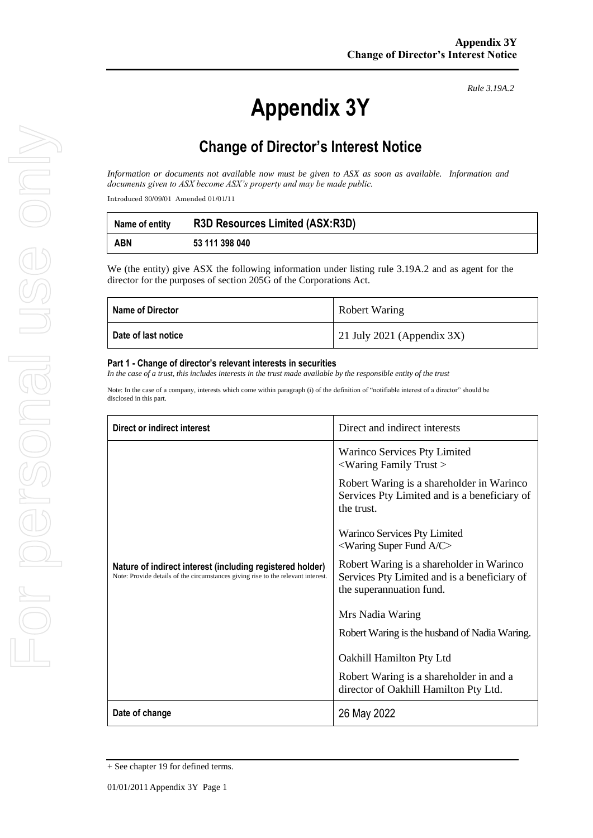*Rule 3.19A.2*

## **Change of Director's Interest Notice**

*Information or documents not available now must be given to ASX as soon as available. Information and documents given to ASX become ASX's property and may be made public.*

Introduced 30/09/01 Amended 01/01/11

| Name of entity | <b>R3D Resources Limited (ASX:R3D)</b> |
|----------------|----------------------------------------|
| <b>ABN</b>     | 53 111 398 040                         |

We (the entity) give ASX the following information under listing rule 3.19A.2 and as agent for the director for the purposes of section 205G of the Corporations Act.

| Name of Director      | <b>Robert Waring</b>          |
|-----------------------|-------------------------------|
| ∣ Date of last notice | 21 July 2021 (Appendix $3X$ ) |

#### **Part 1 - Change of director's relevant interests in securities**

*In the case of a trust, this includes interests in the trust made available by the responsible entity of the trust*

Note: In the case of a company, interests which come within paragraph (i) of the definition of "notifiable interest of a director" should be disclosed in this part.

| <b>Direct or indirect interest</b>                                                                                                            | Direct and indirect interests                                                                                         |
|-----------------------------------------------------------------------------------------------------------------------------------------------|-----------------------------------------------------------------------------------------------------------------------|
|                                                                                                                                               | Warinco Services Pty Limited<br>$\langle$ Waring Family Trust $>$                                                     |
|                                                                                                                                               | Robert Waring is a shareholder in Warinco<br>Services Pty Limited and is a beneficiary of<br>the trust.               |
|                                                                                                                                               | Warinco Services Pty Limited<br>$\leq$ Waring Super Fund A/C $>$                                                      |
| Nature of indirect interest (including registered holder)<br>Note: Provide details of the circumstances giving rise to the relevant interest. | Robert Waring is a shareholder in Warinco<br>Services Pty Limited and is a beneficiary of<br>the superannuation fund. |
|                                                                                                                                               | Mrs Nadia Waring                                                                                                      |
|                                                                                                                                               | Robert Waring is the husband of Nadia Waring.                                                                         |
|                                                                                                                                               | Oakhill Hamilton Pty Ltd                                                                                              |
|                                                                                                                                               | Robert Waring is a shareholder in and a<br>director of Oakhill Hamilton Pty Ltd.                                      |
| Date of change                                                                                                                                | 26 May 2022                                                                                                           |

<sup>+</sup> See chapter 19 for defined terms.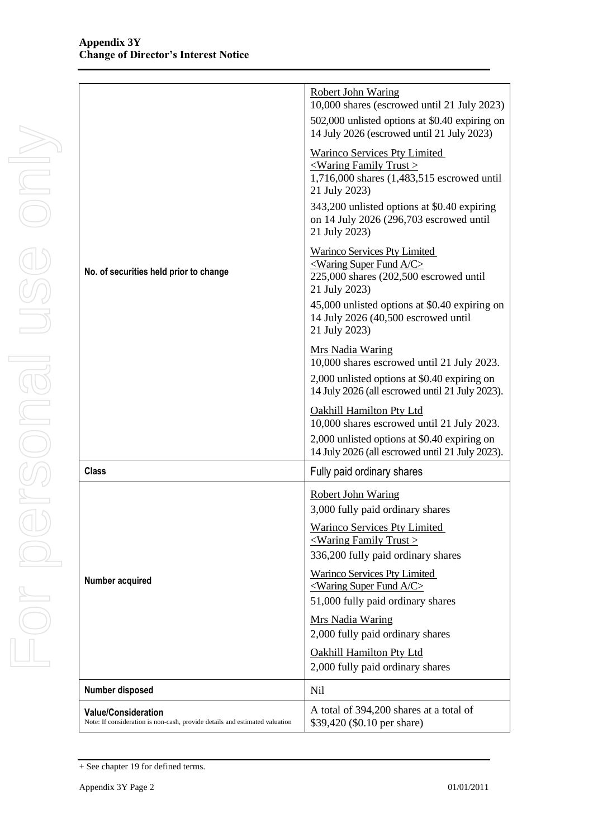|                                                                                                           | <b>Robert John Waring</b><br>10,000 shares (escrowed until 21 July 2023)                                                              |
|-----------------------------------------------------------------------------------------------------------|---------------------------------------------------------------------------------------------------------------------------------------|
|                                                                                                           | 502,000 unlisted options at \$0.40 expiring on<br>14 July 2026 (escrowed until 21 July 2023)                                          |
|                                                                                                           | Warinco Services Pty Limited<br>$\leq$ Waring Family Trust $\geq$<br>1,716,000 shares (1,483,515 escrowed until<br>21 July 2023)      |
|                                                                                                           | 343,200 unlisted options at \$0.40 expiring<br>on 14 July 2026 (296,703 escrowed until<br>21 July 2023)                               |
| No. of securities held prior to change                                                                    | <b>Warinco Services Pty Limited</b><br>$\leq$ Waring Super Fund A/C $\geq$<br>225,000 shares (202,500 escrowed until<br>21 July 2023) |
|                                                                                                           | 45,000 unlisted options at \$0.40 expiring on<br>14 July 2026 (40,500 escrowed until<br>21 July 2023)                                 |
|                                                                                                           | Mrs Nadia Waring<br>10,000 shares escrowed until 21 July 2023.                                                                        |
|                                                                                                           | 2,000 unlisted options at \$0.40 expiring on<br>14 July 2026 (all escrowed until 21 July 2023).                                       |
|                                                                                                           | <b>Oakhill Hamilton Pty Ltd</b><br>10,000 shares escrowed until 21 July 2023.                                                         |
|                                                                                                           | 2,000 unlisted options at \$0.40 expiring on<br>14 July 2026 (all escrowed until 21 July 2023).                                       |
| <b>Class</b>                                                                                              | Fully paid ordinary shares                                                                                                            |
|                                                                                                           | <b>Robert John Waring</b><br>3,000 fully paid ordinary shares                                                                         |
|                                                                                                           | Warinco Services Pty Limited<br>$\leq$ Waring Family Trust $\geq$<br>336,200 fully paid ordinary shares                               |
| Number acquired                                                                                           | <b>Warinco Services Pty Limited</b><br>$\leq$ Waring Super Fund A/C $\geq$<br>51,000 fully paid ordinary shares                       |
|                                                                                                           | <b>Mrs Nadia Waring</b><br>2,000 fully paid ordinary shares                                                                           |
|                                                                                                           | <b>Oakhill Hamilton Pty Ltd</b><br>2,000 fully paid ordinary shares                                                                   |
| Number disposed                                                                                           | N <sub>il</sub>                                                                                                                       |
| <b>Value/Consideration</b><br>Note: If consideration is non-cash, provide details and estimated valuation | A total of 394,200 shares at a total of<br>\$39,420 (\$0.10 per share)                                                                |

<sup>+</sup> See chapter 19 for defined terms.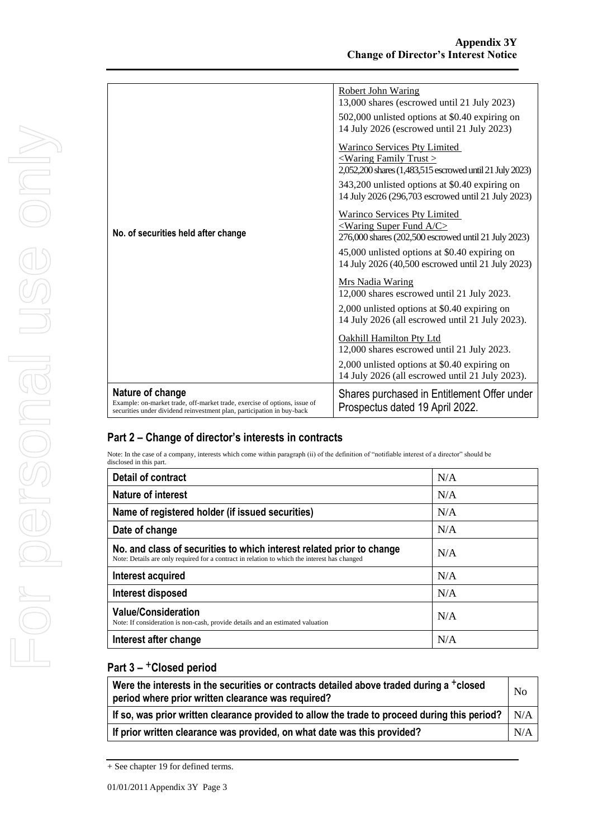|                                                                                                                                                                         | Robert John Waring<br>13,000 shares (escrowed until 21 July 2023)<br>502,000 unlisted options at \$0.40 expiring on<br>14 July 2026 (escrowed until 21 July 2023)                                                                                    |
|-------------------------------------------------------------------------------------------------------------------------------------------------------------------------|------------------------------------------------------------------------------------------------------------------------------------------------------------------------------------------------------------------------------------------------------|
|                                                                                                                                                                         | <b>Warinco Services Pty Limited</b><br><waring family="" trust=""><br/>2,052,200 shares (1,483,515 escrowed until 21 July 2023)<br/>343,200 unlisted options at \$0.40 expiring on<br/>14 July 2026 (296,703 escrowed until 21 July 2023)</waring>   |
| No. of securities held after change                                                                                                                                     | <b>Warinco Services Pty Limited</b><br><waring a="" c="" fund="" super=""><br/>276,000 shares (202,500 escrowed until 21 July 2023)<br/>45,000 unlisted options at \$0.40 expiring on<br/>14 July 2026 (40,500 escrowed until 21 July 2023)</waring> |
|                                                                                                                                                                         | <b>Mrs Nadia Waring</b><br>12,000 shares escrowed until 21 July 2023.<br>2,000 unlisted options at \$0.40 expiring on<br>14 July 2026 (all escrowed until 21 July 2023).                                                                             |
|                                                                                                                                                                         | <b>Oakhill Hamilton Pty Ltd</b><br>12,000 shares escrowed until 21 July 2023.<br>2,000 unlisted options at \$0.40 expiring on                                                                                                                        |
|                                                                                                                                                                         | 14 July 2026 (all escrowed until 21 July 2023).                                                                                                                                                                                                      |
| Nature of change<br>Example: on-market trade, off-market trade, exercise of options, issue of<br>securities under dividend reinvestment plan, participation in buy-back | Shares purchased in Entitlement Offer under<br>Prospectus dated 19 April 2022.                                                                                                                                                                       |

Note: In the case of a company, interests which come within paragraph (ii) of the definition of "notifiable interest of a director" should be disclosed in this part.

| <b>Detail of contract</b>                                                                                                                                             | N/A |
|-----------------------------------------------------------------------------------------------------------------------------------------------------------------------|-----|
| <b>Nature of interest</b>                                                                                                                                             | N/A |
| Name of registered holder (if issued securities)                                                                                                                      | N/A |
| Date of change                                                                                                                                                        | N/A |
| No. and class of securities to which interest related prior to change<br>Note: Details are only required for a contract in relation to which the interest has changed | N/A |
| Interest acquired                                                                                                                                                     | N/A |
| Interest disposed                                                                                                                                                     | N/A |
| <b>Value/Consideration</b><br>Note: If consideration is non-cash, provide details and an estimated valuation                                                          | N/A |
| Interest after change                                                                                                                                                 | N/A |

| Were the interests in the securities or contracts detailed above traded during a +closed<br>period where prior written clearance was required? | N <sub>o</sub> |
|------------------------------------------------------------------------------------------------------------------------------------------------|----------------|
| If so, was prior written clearance provided to allow the trade to proceed during this period?                                                  | N/A            |
| If prior written clearance was provided, on what date was this provided?                                                                       | N/A            |

<sup>+</sup> See chapter 19 for defined terms.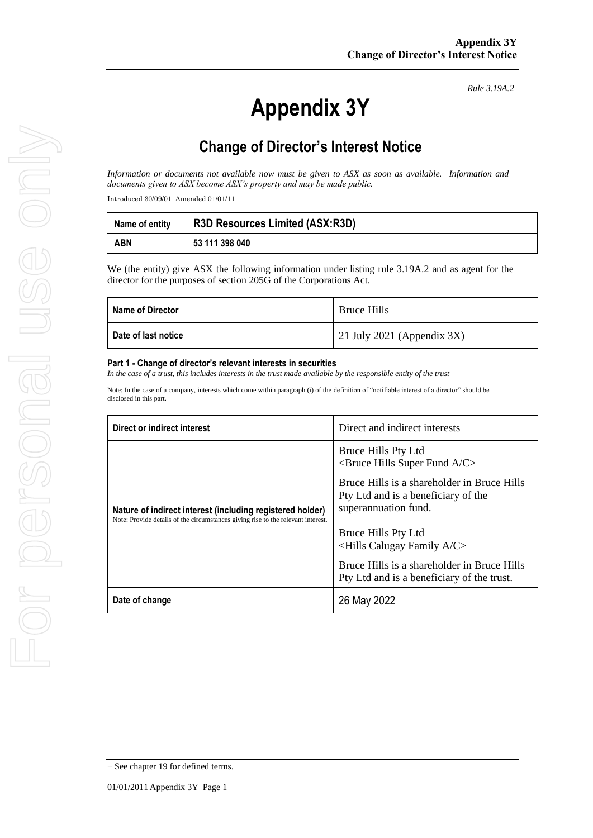*Rule 3.19A.2*

## **Change of Director's Interest Notice**

*Information or documents not available now must be given to ASX as soon as available. Information and documents given to ASX become ASX's property and may be made public.*

Introduced 30/09/01 Amended 01/01/11

| Name of entity | <b>R3D Resources Limited (ASX:R3D)</b> |
|----------------|----------------------------------------|
| <b>ABN</b>     | 53 111 398 040                         |

We (the entity) give ASX the following information under listing rule 3.19A.2 and as agent for the director for the purposes of section 205G of the Corporations Act.

| <b>Name of Director</b> | <b>Bruce Hills</b>            |
|-------------------------|-------------------------------|
| Date of last notice     | 21 July 2021 (Appendix $3X$ ) |

#### **Part 1 - Change of director's relevant interests in securities**

*In the case of a trust, this includes interests in the trust made available by the responsible entity of the trust*

Note: In the case of a company, interests which come within paragraph (i) of the definition of "notifiable interest of a director" should be disclosed in this part.

| Direct or indirect interest                                                                                                                   | Direct and indirect interests                                                                              |
|-----------------------------------------------------------------------------------------------------------------------------------------------|------------------------------------------------------------------------------------------------------------|
|                                                                                                                                               | Bruce Hills Pty Ltd<br>$\leq$ Bruce Hills Super Fund A/C $>$                                               |
| Nature of indirect interest (including registered holder)<br>Note: Provide details of the circumstances giving rise to the relevant interest. | Bruce Hills is a shareholder in Bruce Hills<br>Pty Ltd and is a beneficiary of the<br>superannuation fund. |
|                                                                                                                                               | Bruce Hills Pty Ltd<br>$\le$ Hills Calugay Family A/C $>$                                                  |
|                                                                                                                                               | Bruce Hills is a shareholder in Bruce Hills<br>Pty Ltd and is a beneficiary of the trust.                  |
| Date of change                                                                                                                                | 26 May 2022                                                                                                |

+ See chapter 19 for defined terms.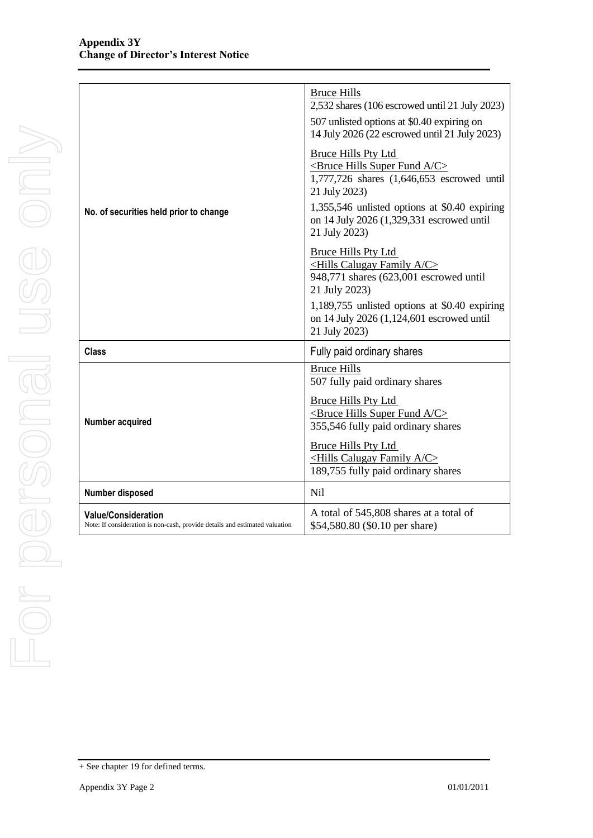|                                                                                                           | <b>Bruce Hills</b><br>2,532 shares (106 escrowed until 21 July 2023)<br>507 unlisted options at \$0.40 expiring on<br>14 July 2026 (22 escrowed until 21 July 2023)                                                                                                      |
|-----------------------------------------------------------------------------------------------------------|--------------------------------------------------------------------------------------------------------------------------------------------------------------------------------------------------------------------------------------------------------------------------|
| No. of securities held prior to change                                                                    | <b>Bruce Hills Pty Ltd</b><br><bruce a="" c="" fund="" hills="" super=""><br/>1,777,726 shares (1,646,653 escrowed until<br/>21 July 2023)<br/>1,355,546 unlisted options at \$0.40 expiring<br/>on 14 July 2026 (1,329,331 escrowed until<br/>21 July 2023)</bruce>     |
|                                                                                                           | <b>Bruce Hills Pty Ltd</b><br><hills a="" c="" calugay="" family=""><br/>948,771 shares (623,001 escrowed until<br/>21 July 2023)<br/>1,189,755 unlisted options at <math>\$0.40</math> expiring<br/>on 14 July 2026 (1,124,601 escrowed until<br/>21 July 2023)</hills> |
| <b>Class</b>                                                                                              | Fully paid ordinary shares                                                                                                                                                                                                                                               |
| Number acquired                                                                                           | <b>Bruce Hills</b><br>507 fully paid ordinary shares<br><b>Bruce Hills Pty Ltd</b><br><bruce a="" c="" fund="" hills="" super=""><br/>355,546 fully paid ordinary shares</bruce>                                                                                         |
|                                                                                                           | <b>Bruce Hills Pty Ltd</b><br><hills a="" c="" calugay="" family=""><br/>189,755 fully paid ordinary shares</hills>                                                                                                                                                      |
| Number disposed                                                                                           | Nil                                                                                                                                                                                                                                                                      |
| <b>Value/Consideration</b><br>Note: If consideration is non-cash, provide details and estimated valuation | A total of 545,808 shares at a total of<br>\$54,580.80 (\$0.10 per share)                                                                                                                                                                                                |

<sup>+</sup> See chapter 19 for defined terms.